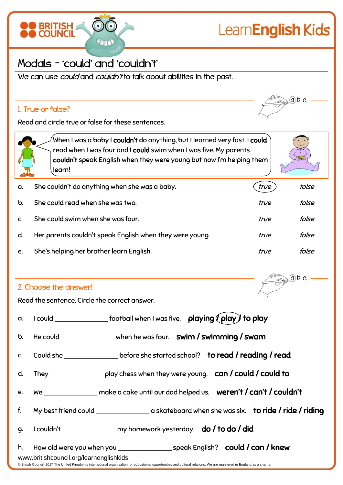

# LearnEnglish Kids

# Modals – 'could' and 'couldn't'

We can use *could* and *couldn't* to talk about abilities in the past.

## 1. True or false?

 $ab$  c

Read and circle true or false for these sentences.



When I was a baby I **couldn't** do anything, but I learned very fast. I **could** read when I was four and I could swim when I was five. My parents couldn't speak English when they were young but now I'm helping them learn!



 $(a)b$  c

| a.           | She couldn't do anything when she was a baby.            | true | false |
|--------------|----------------------------------------------------------|------|-------|
| b.           | She could read when she was two.                         | true | false |
| $\mathsf{C}$ | She could swim when she was four.                        | true | false |
| d.           | Her parents couldn't speak English when they were young. | true | false |
| e.           | She's helping her brother learn English.                 | true | false |

### 2. Choose the answer!

Read the sentence. Circle the correct answer.

|                                                                                                                                                                                                                     | a. I could $\_\_\_\_\_\_\_\_\_\_\_\_$ football when I was five. $\_\_\_\_\_\_\_\_\_\_\_\_\_\_\_\_\_$ to play |  |
|---------------------------------------------------------------------------------------------------------------------------------------------------------------------------------------------------------------------|--------------------------------------------------------------------------------------------------------------|--|
|                                                                                                                                                                                                                     | b. He could ________________ when he was four. <b>swim / swimming / swam</b>                                 |  |
| C.                                                                                                                                                                                                                  | Could she ___________________before she started school? <b>to read / reading / read</b>                      |  |
|                                                                                                                                                                                                                     | d. They $\_\_\_\_\_\_$ play chess when they were young. $\_\_\_$ can / could / could to                      |  |
|                                                                                                                                                                                                                     |                                                                                                              |  |
| f.                                                                                                                                                                                                                  | My best friend could _________________a skateboard when she was six. <b>to ride / ride / riding</b>          |  |
| 9.                                                                                                                                                                                                                  | I couldn't _________________ my homework yesterday. do / to do / did                                         |  |
| www.britishcouncil.org/learnenglishkids<br>© British Council, 2017 The United Kingdom's international organisation for educational opportunities and cultural relations. We are registered in England as a charity. |                                                                                                              |  |